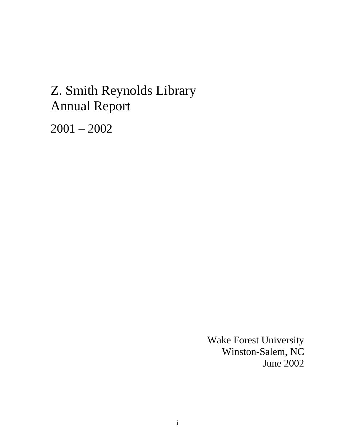# Z. Smith Reynolds Library Annual Report

2001 – 2002

Wake Forest University Winston-Salem, NC June 2002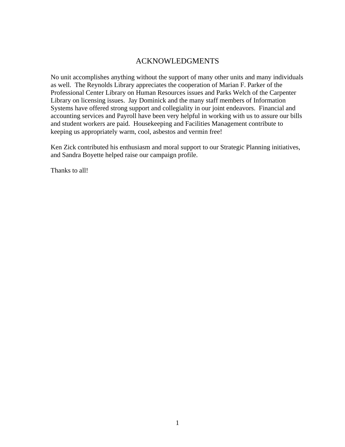# ACKNOWLEDGMENTS

No unit accomplishes anything without the support of many other units and many individuals as well. The Reynolds Library appreciates the cooperation of Marian F. Parker of the Professional Center Library on Human Resources issues and Parks Welch of the Carpenter Library on licensing issues. Jay Dominick and the many staff members of Information Systems have offered strong support and collegiality in our joint endeavors. Financial and accounting services and Payroll have been very helpful in working with us to assure our bills and student workers are paid. Housekeeping and Facilities Management contribute to keeping us appropriately warm, cool, asbestos and vermin free!

Ken Zick contributed his enthusiasm and moral support to our Strategic Planning initiatives, and Sandra Boyette helped raise our campaign profile.

Thanks to all!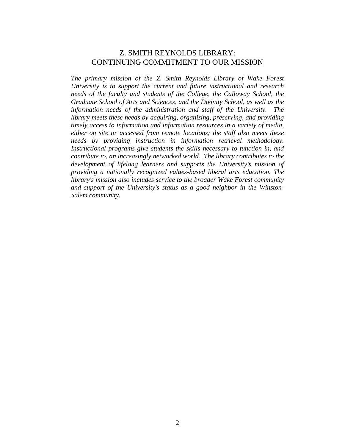# Z. SMITH REYNOLDS LIBRARY: CONTINUING COMMITMENT TO OUR MISSION

*The primary mission of the Z. Smith Reynolds Library of Wake Forest University is to support the current and future instructional and research needs of the faculty and students of the College, the Calloway School, the Graduate School of Arts and Sciences, and the Divinity School, as well as the information needs of the administration and staff of the University. The library meets these needs by acquiring, organizing, preserving, and providing timely access to information and information resources in a variety of media, either on site or accessed from remote locations; the staff also meets these needs by providing instruction in information retrieval methodology. Instructional programs give students the skills necessary to function in, and contribute to, an increasingly networked world. The library contributes to the development of lifelong learners and supports the University's mission of providing a nationally recognized values-based liberal arts education. The library's mission also includes service to the broader Wake Forest community and support of the University's status as a good neighbor in the Winston-Salem community.*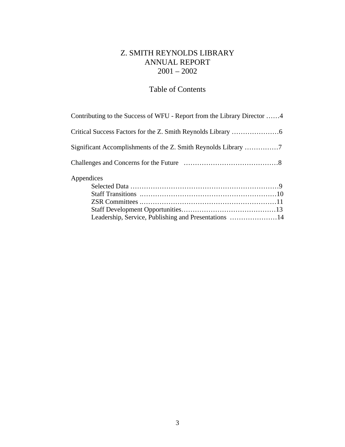# Z. SMITH REYNOLDS LIBRARY ANNUAL REPORT 2001 – 2002

# Table of Contents

| Contributing to the Success of WFU - Report from the Library Director 4 |  |
|-------------------------------------------------------------------------|--|
|                                                                         |  |
|                                                                         |  |
|                                                                         |  |
| Appendices                                                              |  |
|                                                                         |  |
|                                                                         |  |
|                                                                         |  |
|                                                                         |  |
| Leadership, Service, Publishing and Presentations 14                    |  |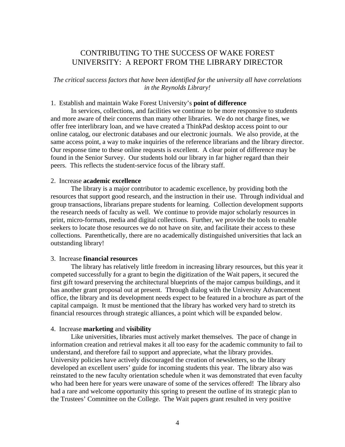# CONTRIBUTING TO THE SUCCESS OF WAKE FOREST UNIVERSITY: A REPORT FROM THE LIBRARY DIRECTOR

*The critical success factors that have been identified for the university all have correlations in the Reynolds Library!* 

### 1. Establish and maintain Wake Forest University's **point of difference**

In services, collections, and facilities we continue to be more responsive to students and more aware of their concerns than many other libraries. We do not charge fines, we offer free interlibrary loan, and we have created a ThinkPad desktop access point to our online catalog, our electronic databases and our electronic journals. We also provide, at the same access point, a way to make inquiries of the reference librarians and the library director. Our response time to these online requests is excellent. A clear point of difference may be found in the Senior Survey. Our students hold our library in far higher regard than their peers. This reflects the student-service focus of the library staff.

#### 2. Increase **academic excellence**

The library is a major contributor to academic excellence, by providing both the resources that support good research, and the instruction in their use. Through individual and group transactions, librarians prepare students for learning. Collection development supports the research needs of faculty as well. We continue to provide major scholarly resources in print, micro-formats, media and digital collections. Further, we provide the tools to enable seekers to locate those resources we do not have on site, and facilitate their access to these collections. Parenthetically, there are no academically distinguished universities that lack an outstanding library!

### 3. Increase **financial resources**

The library has relatively little freedom in increasing library resources, but this year it competed successfully for a grant to begin the digitization of the Wait papers, it secured the first gift toward preserving the architectural blueprints of the major campus buildings, and it has another grant proposal out at present. Through dialog with the University Advancement office, the library and its development needs expect to be featured in a brochure as part of the capital campaign. It must be mentioned that the library has worked very hard to stretch its financial resources through strategic alliances, a point which will be expanded below.

#### 4. Increase **marketing** and **visibility**

Like universities, libraries must actively market themselves. The pace of change in information creation and retrieval makes it all too easy for the academic community to fail to understand, and therefore fail to support and appreciate, what the library provides. University policies have actively discouraged the creation of newsletters, so the library developed an excellent users' guide for incoming students this year. The library also was reinstated to the new faculty orientation schedule when it was demonstrated that even faculty who had been here for years were unaware of some of the services offered! The library also had a rare and welcome opportunity this spring to present the outline of its strategic plan to the Trustees' Committee on the College. The Wait papers grant resulted in very positive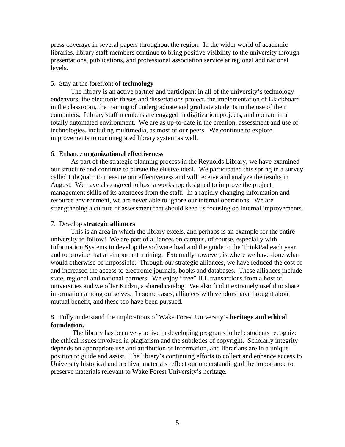press coverage in several papers throughout the region. In the wider world of academic libraries, library staff members continue to bring positive visibility to the university through presentations, publications, and professional association service at regional and national levels.

### 5. Stay at the forefront of **technology**

The library is an active partner and participant in all of the university's technology endeavors: the electronic theses and dissertations project, the implementation of Blackboard in the classroom, the training of undergraduate and graduate students in the use of their computers. Library staff members are engaged in digitization projects, and operate in a totally automated environment. We are as up-to-date in the creation, assessment and use of technologies, including multimedia, as most of our peers. We continue to explore improvements to our integrated library system as well.

### 6. Enhance **organizational effectiveness**

As part of the strategic planning process in the Reynolds Library, we have examined our structure and continue to pursue the elusive ideal. We participated this spring in a survey called LibQual+ to measure our effectiveness and will receive and analyze the results in August. We have also agreed to host a workshop designed to improve the project management skills of its attendees from the staff. In a rapidly changing information and resource environment, we are never able to ignore our internal operations. We are strengthening a culture of assessment that should keep us focusing on internal improvements.

### 7. Develop **strategic alliances**

This is an area in which the library excels, and perhaps is an example for the entire university to follow! We are part of alliances on campus, of course, especially with Information Systems to develop the software load and the guide to the ThinkPad each year, and to provide that all-important training. Externally however, is where we have done what would otherwise be impossible. Through our strategic alliances, we have reduced the cost of and increased the access to electronic journals, books and databases. These alliances include state, regional and national partners. We enjoy "free" ILL transactions from a host of universities and we offer Kudzu, a shared catalog. We also find it extremely useful to share information among ourselves. In some cases, alliances with vendors have brought about mutual benefit, and these too have been pursued.

# 8. Fully understand the implications of Wake Forest University's **heritage and ethical foundation.**

 The library has been very active in developing programs to help students recognize the ethical issues involved in plagiarism and the subtleties of copyright. Scholarly integrity depends on appropriate use and attribution of information, and librarians are in a unique position to guide and assist. The library's continuing efforts to collect and enhance access to University historical and archival materials reflect our understanding of the importance to preserve materials relevant to Wake Forest University's heritage.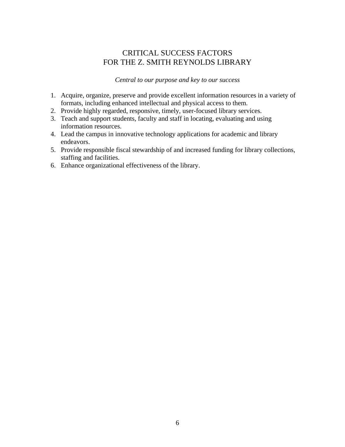# CRITICAL SUCCESS FACTORS FOR THE Z. SMITH REYNOLDS LIBRARY

*Central to our purpose and key to our success* 

- 1. Acquire, organize, preserve and provide excellent information resources in a variety of formats, including enhanced intellectual and physical access to them.
- 2. Provide highly regarded, responsive, timely, user-focused library services.
- 3. Teach and support students, faculty and staff in locating, evaluating and using information resources.
- 4. Lead the campus in innovative technology applications for academic and library endeavors.
- 5. Provide responsible fiscal stewardship of and increased funding for library collections, staffing and facilities.
- 6. Enhance organizational effectiveness of the library.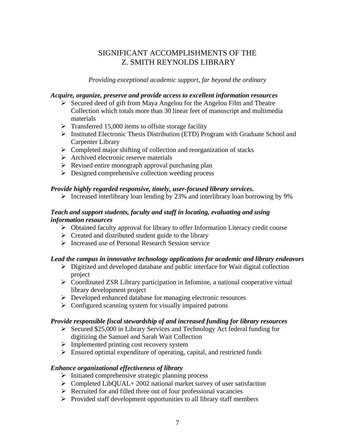# SIGNIFICANT ACCOMPLISHMENTS OF THE Z. SMITH REYNOLDS LIBRARY

*Providing exceptional academic support, far beyond the ordinary* 

# *Acquire, organize, preserve and provide access to excellent information resources*

- $\triangleright$  Secured deed of gift from Maya Angelou for the Angelou Film and Theatre Collection which totals more than 30 linear feet of manuscript and multimedia materials
- $\triangleright$  Transferred 15,000 items to offsite storage facility
- $\triangleright$  Instituted Electronic Thesis Distribution (ETD) Program with Graduate School and Carpenter Library
- $\triangleright$  Completed major shifting of collection and reorganization of stacks
- $\triangleright$  Archived electronic reserve materials
- $\triangleright$  Revised entire monograph approval purchasing plan
- $\triangleright$  Designed comprehensive collection weeding process

# *Provide highly regarded responsive, timely, user-focused library services.*

 $\triangleright$  Increased interlibrary loan lending by 23% and interlibrary loan borrowing by 9%

# *Teach and support students, faculty and staff in locating, evaluating and using information resources*

- $\triangleright$  Obtained faculty approval for library to offer Information Literacy credit course
- $\triangleright$  Created and distributed student guide to the library
- $\triangleright$  Increased use of Personal Research Session service

# *Lead the campus in innovative technology applications for academic and library endeavors*

- $\triangleright$  Digitized and developed database and public interface for Wait digital collection project
- ! Coordinated ZSR Library participation in Infomine, a national cooperative virtual library development project
- $\triangleright$  Developed enhanced database for managing electronic resources
- $\triangleright$  Configured scanning system for visually impaired patrons

# *Provide responsible fiscal stewardship of and increased funding for library resources*

- $\geq$  Secured \$25,000 in Library Services and Technology Act federal funding for digitizing the Samuel and Sarah Wait Collection
- $\triangleright$  Implemented printing cost recovery system
- $\triangleright$  Ensured optimal expenditure of operating, capital, and restricted funds

# *Enhance organizational effectiveness of library*

- $\triangleright$  Initiated comprehensive strategic planning process
- $\triangleright$  Completed LibQUAL+ 2002 national market survey of user satisfaction
- $\triangleright$  Recruited for and filled three out of four professional vacancies
- $\triangleright$  Provided staff development opportunities to all library staff members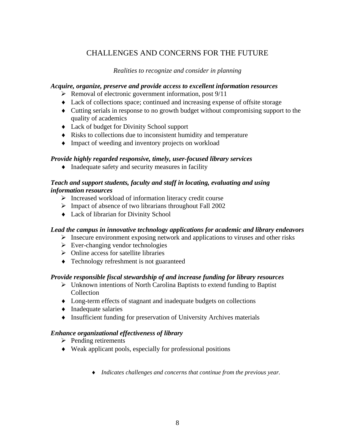# CHALLENGES AND CONCERNS FOR THE FUTURE

# *Realities to recognize and consider in planning*

# *Acquire, organize, preserve and provide access to excellent information resources*

- $\triangleright$  Removal of electronic government information, post 9/11
- ♦ Lack of collections space; continued and increasing expense of offsite storage
- ♦ Cutting serials in response to no growth budget without compromising support to the quality of academics
- ♦ Lack of budget for Divinity School support
- ♦ Risks to collections due to inconsistent humidity and temperature
- ♦ Impact of weeding and inventory projects on workload

# *Provide highly regarded responsive, timely, user-focused library services*

♦ Inadequate safety and security measures in facility

# *Teach and support students, faculty and staff in locating, evaluating and using information resources*

- $\triangleright$  Increased workload of information literacy credit course
- $\triangleright$  Impact of absence of two librarians throughout Fall 2002
- ♦ Lack of librarian for Divinity School

# *Lead the campus in innovative technology applications for academic and library endeavors*

- $\triangleright$  Insecure environment exposing network and applications to viruses and other risks
- $\triangleright$  Ever-changing vendor technologies
- $\triangleright$  Online access for satellite libraries
- ♦ Technology refreshment is not guaranteed

# *Provide responsible fiscal stewardship of and increase funding for library resources*

- $\triangleright$  Unknown intentions of North Carolina Baptists to extend funding to Baptist Collection
- ♦ Long-term effects of stagnant and inadequate budgets on collections
- ♦ Inadequate salaries
- ♦ Insufficient funding for preservation of University Archives materials

# *Enhance organizational effectiveness of library*

- $\triangleright$  Pending retirements
- ♦ Weak applicant pools, especially for professional positions
	- ♦ *Indicates challenges and concerns that continue from the previous year.*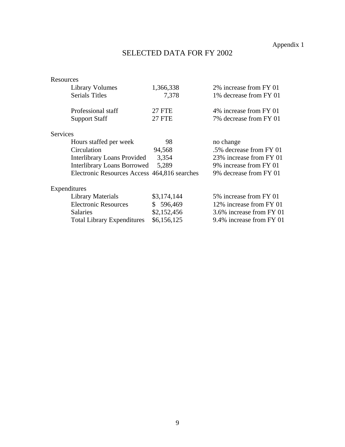Appendix 1

# SELECTED DATA FOR FY 2002

| Resources                                    |               |                          |
|----------------------------------------------|---------------|--------------------------|
| Library Volumes                              | 1,366,338     | 2% increase from FY 01   |
| <b>Serials Titles</b>                        | 7,378         | 1% decrease from FY 01   |
| Professional staff                           | <b>27 FTE</b> | 4% increase from FY 01   |
| <b>Support Staff</b>                         | <b>27 FTE</b> | 7% decrease from FY 01   |
| <b>Services</b>                              |               |                          |
| Hours staffed per week                       | 98            | no change                |
| Circulation                                  | 94,568        | .5% decrease from FY 01  |
| <b>Interlibrary Loans Provided</b>           | 3,354         | 23% increase from FY 01  |
| <b>Interlibrary Loans Borrowed</b>           | 5,289         | 9% increase from FY 01   |
| Electronic Resources Access 464,816 searches |               | 9% decrease from FY 01   |
| Expenditures                                 |               |                          |
| Library Materials                            | \$3,174,144   | 5% increase from FY 01   |
| <b>Electronic Resources</b>                  | \$ 596,469    | 12% increase from FY 01  |
| <b>Salaries</b>                              | \$2,152,456   | 3.6% increase from FY 01 |
| <b>Total Library Expenditures</b>            | \$6,156,125   | 9.4% increase from FY 01 |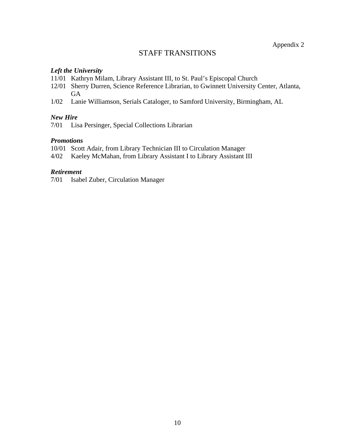# STAFF TRANSITIONS

# *Left the University*

- 11/01 Kathryn Milam, Library Assistant III, to St. Paul's Episcopal Church
- 12/01 Sherry Durren, Science Reference Librarian, to Gwinnett University Center, Atlanta, **GA**
- 1/02 Lanie Williamson, Serials Cataloger, to Samford University, Birmingham, AL

# *New Hire*

7/01 Lisa Persinger, Special Collections Librarian

# *Promotions*

- 10/01 Scott Adair, from Library Technician III to Circulation Manager
- 4/02 Kaeley McMahan, from Library Assistant I to Library Assistant III

# *Retirement*

7/01 Isabel Zuber, Circulation Manager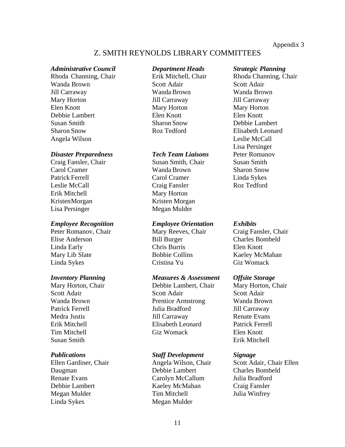Appendix 3

# Z. SMITH REYNOLDS LIBRARY COMMITTEES

### *Administrative Council Department Heads Strategic Planning*

Wanda Brown Scott Adair Scott Adair Jill Carraway Wanda Brown Wanda Brown Mary Horton **Jill Carraway** Jill Carraway Jill Carraway Elen Knott Mary Horton Mary Horton Mary Horton Debbie Lambert Elen Knott Elen Knott Susan Smith Sharon Snow Debbie Lambert Sharon Snow Roz Tedford Elisabeth Leonard Angela Wilson Leslie McCall

### *Disaster Preparedness Tech Team Liaisons* Peter Romanov

Erik Mitchell Mary Horton Kristen Morgan Kristen Morgan Lisa Persinger Megan Mulder

Peter Romanov, Chair Mary Reeves, Chair Craig Fansler, Chair Elise Anderson Bill Burger Charles Bombeld Linda Early Chris Burris Elen Knott Mary Lib Slate Bobbie Collins Kaeley McMahan Linda Sykes Cristina Yu Giz Womack

Susan Smith Erik Mitchell

Daugman Debbie Lambert Charles Bombeld Renate Evans Carolyn McCallum Julia Bradford Debbie Lambert Kaeley McMahan Craig Fansler Megan Mulder Tim Mitchell Julia Winfrey Linda Sykes Megan Mulder

Craig Fansler, Chair **Susan Smith, Chair** Susan Smith Carol Cramer Wanda Brown Sharon Snow Patrick Ferrell Carol Cramer Linda Sykes Leslie McCall Craig Fansler Roz Tedford

#### *Employee Recognition Employee Orientation Exhibits*

#### *Inventory Planning Measures & Assessment Offsite Storage*

Mary Horton, Chair **Debbie Lambert, Chair** Mary Horton, Chair Scott Adair Scott Adair Scott Adair Wanda Brown Prentice Armstrong Wanda Brown Patrick Ferrell **Iulia Bradford** Jill Carraway Medra Justis Jill Carraway Renate Evans Erik Mitchell Elisabeth Leonard Patrick Ferrell Tim Mitchell Giz Womack Elen Knott

#### *Publications Staff Development Signage*

Rhoda Channing, Chair Erik Mitchell, Chair Rhoda Channing, Chair Lisa Persinger

Ellen Gardiner, Chair Angela Wilson, Chair Scott Adair, Chair Ellen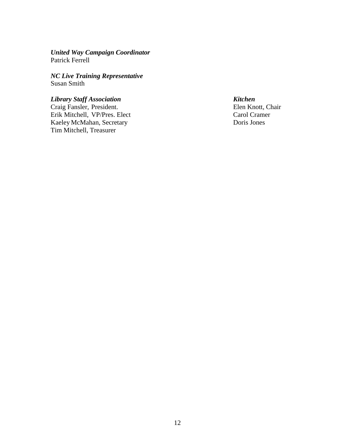*United Way Campaign Coordinator* Patrick Ferrell

*NC Live Training Representative* Susan Smith

*Library Staff Association Kitchen* Craig Fansler, President. Erik Mitchell, VP/Pres. Elect Carol Cramer Kaeley McMahan, Secretary Doris Jones Tim Mitchell, Treasurer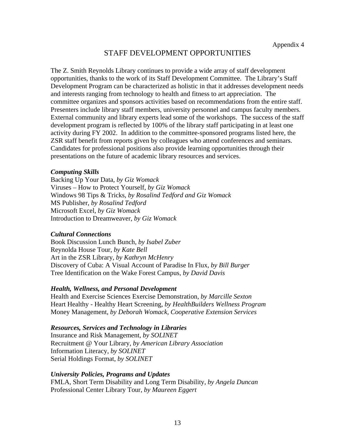# STAFF DEVELOPMENT OPPORTUNITIES

The Z. Smith Reynolds Library continues to provide a wide array of staff development opportunities, thanks to the work of its Staff Development Committee. The Library's Staff Development Program can be characterized as holistic in that it addresses development needs and interests ranging from technology to health and fitness to art appreciation. The committee organizes and sponsors activities based on recommendations from the entire staff. Presenters include library staff members, university personnel and campus faculty members. External community and library experts lead some of the workshops. The success of the staff development program is reflected by 100% of the library staff participating in at least one activity during FY 2002. In addition to the committee-sponsored programs listed here, the ZSR staff benefit from reports given by colleagues who attend conferences and seminars. Candidates for professional positions also provide learning opportunities through their presentations on the future of academic library resources and services.

# *Computing Skills*

Backing Up Your Data, *by Giz Womack* Viruses – How to Protect Yourself, *by Giz Womack* Windows 98 Tips & Tricks, *by Rosalind Tedford and Giz Womack* MS Publisher, *by Rosalind Tedford* Microsoft Excel, *by Giz Womack* Introduction to Dreamweaver, *by Giz Womack*

# *Cultural Connections*

Book Discussion Lunch Bunch, *by Isabel Zuber*  Reynolda House Tour, *by Kate Bell* Art in the ZSR Library, *by Kathryn McHenry* Discovery of Cuba: A Visual Account of Paradise In Flux, *by Bill Burger* Tree Identification on the Wake Forest Campus, *by David Davis*

# *Health, Wellness, and Personal Development*

Health and Exercise Sciences Exercise Demonstration, *by Marcille Sexton* Heart Healthy - Healthy Heart Screening, *by HealthBuilders Wellness Program* Money Management, *by Deborah Womack, Cooperative Extension Services*

# *Resources, Services and Technology in Libraries*

Insurance and Risk Management, *by SOLINET*  Recruitment @ Your Library, *by American Library Association* Information Literacy, *by SOLINET* Serial Holdings Format, *by SOLINET*

# *University Policies, Programs and Updates*

FMLA, Short Term Disability and Long Term Disability, *by Angela Duncan* Professional Center Library Tour, *by Maureen Eggert*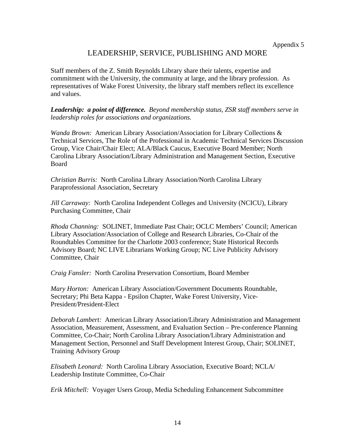# LEADERSHIP, SERVICE, PUBLISHING AND MORE

Staff members of the Z. Smith Reynolds Library share their talents, expertise and commitment with the University, the community at large, and the library profession. As representatives of Wake Forest University, the library staff members reflect its excellence and values.

*Leadership: a point of difference. Beyond membership status, ZSR staff members serve in leadership roles for associations and organizations.* 

*Wanda Brown:* American Library Association/Association for Library Collections & Technical Services, The Role of the Professional in Academic Technical Services Discussion Group, Vice Chair/Chair Elect; ALA/Black Caucus, Executive Board Member; North Carolina Library Association/Library Administration and Management Section, Executive Board

*Christian Burris:* North Carolina Library Association/North Carolina Library Paraprofessional Association, Secretary

*Jill Carraway:* North Carolina Independent Colleges and University (NCICU), Library Purchasing Committee, Chair

*Rhoda Channing:* SOLINET, Immediate Past Chair; OCLC Members' Council; American Library Association/Association of College and Research Libraries, Co-Chair of the Roundtables Committee for the Charlotte 2003 conference; State Historical Records Advisory Board; NC LIVE Librarians Working Group; NC Live Publicity Advisory Committee, Chair

*Craig Fansler:* North Carolina Preservation Consortium, Board Member

*Mary Horton:* American Library Association/Government Documents Roundtable, Secretary; Phi Beta Kappa - Epsilon Chapter, Wake Forest University, Vice-President/President-Elect

*Deborah Lambert:* American Library Association/Library Administration and Management Association, Measurement, Assessment, and Evaluation Section – Pre-conference Planning Committee, Co-Chair; North Carolina Library Association/Library Administration and Management Section, Personnel and Staff Development Interest Group, Chair; SOLINET, Training Advisory Group

*Elisabeth Leonard:* North Carolina Library Association, Executive Board; NCLA/ Leadership Institute Committee, Co-Chair

*Erik Mitchell:* Voyager Users Group, Media Scheduling Enhancement Subcommittee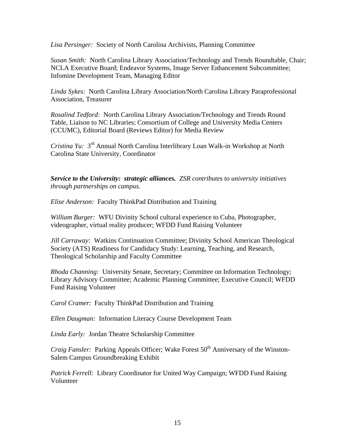*Lisa Persinger:* Society of North Carolina Archivists, Planning Committee

*Susan Smith:* North Carolina Library Association/Technology and Trends Roundtable, Chair; NCLA Executive Board; Endeavor Systems, Image Server Enhancement Subcommittee; Infomine Development Team, Managing Editor

*Linda Sykes:* North Carolina Library Association/North Carolina Library Paraprofessional Association, Treasurer

*Rosalind Tedford:* North Carolina Library Association/Technology and Trends Round Table, Liaison to NC Libraries; Consortium of College and University Media Centers (CCUMC), Editorial Board (Reviews Editor) for Media Review

*Cristina Yu:* 3rd Annual North Carolina Interlibrary Loan Walk-in Workshop at North Carolina State University, Coordinator

*Service to the University: strategic alliances. ZSR contributes to university initiatives through partnerships on campus.* 

*Elise Anderson:* Faculty ThinkPad Distribution and Training

*William Burger:* WFU Divinity School cultural experience to Cuba, Photographer, videographer, virtual reality producer; WFDD Fund Raising Volunteer

*Jill Carraway:* Watkins Continuation Committee; Divinity School American Theological Society (ATS) Readiness for Candidacy Study: Learning, Teaching, and Research, Theological Scholarship and Faculty Committee

*Rhoda Channing:* University Senate, Secretary; Committee on Information Technology; Library Advisory Committee; Academic Planning Committee; Executive Council; WFDD Fund Raising Volunteer

*Carol Cramer*: Faculty ThinkPad Distribution and Training

*Ellen Daugman:* Information Literacy Course Development Team

*Linda Early:* Jordan Theatre Scholarship Committee

*Craig Fansler:* Parking Appeals Officer; Wake Forest 50<sup>th</sup> Anniversary of the Winston-Salem Campus Groundbreaking Exhibit

*Patrick Ferrell:* Library Coordinator for United Way Campaign; WFDD Fund Raising Volunteer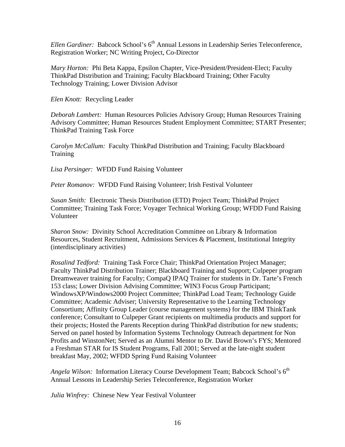*Ellen Gardiner:* Babcock School's 6<sup>th</sup> Annual Lessons in Leadership Series Teleconference, Registration Worker; NC Writing Project, Co-Director

*Mary Horton:* Phi Beta Kappa, Epsilon Chapter, Vice-President/President-Elect; Faculty ThinkPad Distribution and Training; Faculty Blackboard Training; Other Faculty Technology Training; Lower Division Advisor

*Elen Knott:* Recycling Leader

*Deborah Lambert:* Human Resources Policies Advisory Group; Human Resources Training Advisory Committee; Human Resources Student Employment Committee; START Presenter; ThinkPad Training Task Force

*Carolyn McCallum:* Faculty ThinkPad Distribution and Training; Faculty Blackboard **Training** 

*Lisa Persinger:* WFDD Fund Raising Volunteer

*Peter Romanov:* WFDD Fund Raising Volunteer; Irish Festival Volunteer

*Susan Smith:* Electronic Thesis Distribution (ETD) Project Team; ThinkPad Project Committee; Training Task Force; Voyager Technical Working Group; WFDD Fund Raising Volunteer

*Sharon Snow:* Divinity School Accreditation Committee on Library & Information Resources, Student Recruitment, Admissions Services & Placement, Institutional Integrity (interdisciplinary activities)

*Rosalind Tedford:* Training Task Force Chair; ThinkPad Orientation Project Manager; Faculty ThinkPad Distribution Trainer; Blackboard Training and Support; Culpeper program Dreamweaver training for Faculty; CompaQ IPAQ Trainer for students in Dr. Tarte's French 153 class; Lower Division Advising Committee; WIN3 Focus Group Participant; WindowsXP/Windows2000 Project Committee; ThinkPad Load Team; Technology Guide Committee; Academic Adviser; University Representative to the Learning Technology Consortium; Affinity Group Leader (course management systems) for the IBM ThinkTank conference; Consultant to Culpeper Grant recipients on multimedia products and support for their projects; Hosted the Parents Reception during ThinkPad distribution for new students; Served on panel hosted by Information Systems Technology Outreach department for Non Profits and WinstonNet; Served as an Alumni Mentor to Dr. David Brown's FYS; Mentored a Freshman STAR for IS Student Programs, Fall 2001; Served at the late-night student breakfast May, 2002; WFDD Spring Fund Raising Volunteer

*Angela Wilson:* Information Literacy Course Development Team; Babcock School's 6<sup>th</sup> Annual Lessons in Leadership Series Teleconference, Registration Worker

*Julia Winfrey:* Chinese New Year Festival Volunteer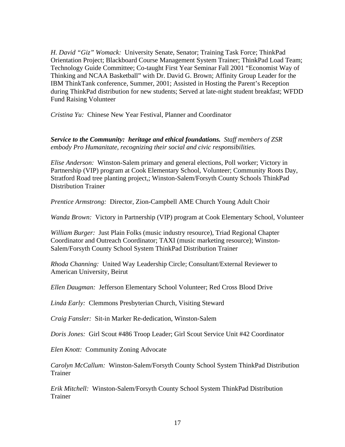*H. David "Giz" Womack:* University Senate, Senator; Training Task Force; ThinkPad Orientation Project; Blackboard Course Management System Trainer; ThinkPad Load Team; Technology Guide Committee; Co-taught First Year Seminar Fall 2001 "Economist Way of Thinking and NCAA Basketball" with Dr. David G. Brown; Affinity Group Leader for the IBM ThinkTank conference, Summer, 2001; Assisted in Hosting the Parent's Reception during ThinkPad distribution for new students; Served at late-night student breakfast; WFDD Fund Raising Volunteer

*Cristina Yu:* Chinese New Year Festival, Planner and Coordinator

*Service to the Community: heritage and ethical foundations. Staff members of ZSR embody Pro Humanitate, recognizing their social and civic responsibilities.* 

*Elise Anderson:* Winston-Salem primary and general elections, Poll worker; Victory in Partnership (VIP) program at Cook Elementary School, Volunteer; Community Roots Day, Stratford Road tree planting project,; Winston-Salem/Forsyth County Schools ThinkPad Distribution Trainer

*Prentice Armstrong:* Director, Zion-Campbell AME Church Young Adult Choir

*Wanda Brown:* Victory in Partnership (VIP) program at Cook Elementary School, Volunteer

*William Burger:* Just Plain Folks (music industry resource), Triad Regional Chapter Coordinator and Outreach Coordinator; TAXI (music marketing resource); Winston-Salem/Forsyth County School System ThinkPad Distribution Trainer

*Rhoda Channing:* United Way Leadership Circle; Consultant/External Reviewer to American University, Beirut

*Ellen Daugman:* Jefferson Elementary School Volunteer; Red Cross Blood Drive

*Linda Early:* Clemmons Presbyterian Church, Visiting Steward

*Craig Fansler:* Sit-in Marker Re-dedication, Winston-Salem

*Doris Jones:* Girl Scout #486 Troop Leader; Girl Scout Service Unit #42 Coordinator

*Elen Knott:* Community Zoning Advocate

*Carolyn McCallum:* Winston-Salem/Forsyth County School System ThinkPad Distribution Trainer

*Erik Mitchell:* Winston-Salem/Forsyth County School System ThinkPad Distribution Trainer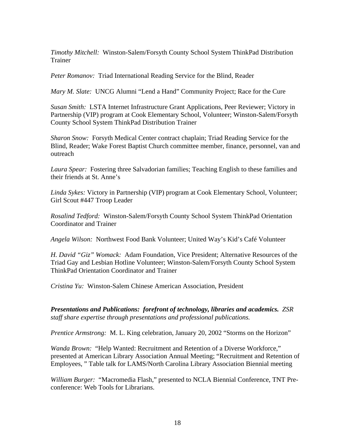*Timothy Mitchell:* Winston-Salem/Forsyth County School System ThinkPad Distribution Trainer

*Peter Romanov:* Triad International Reading Service for the Blind, Reader

*Mary M. Slate:* UNCG Alumni "Lend a Hand" Community Project; Race for the Cure

*Susan Smith:* LSTA Internet Infrastructure Grant Applications, Peer Reviewer; Victory in Partnership (VIP) program at Cook Elementary School, Volunteer; Winston-Salem/Forsyth County School System ThinkPad Distribution Trainer

*Sharon Snow:* Forsyth Medical Center contract chaplain; Triad Reading Service for the Blind, Reader; Wake Forest Baptist Church committee member, finance, personnel, van and outreach

*Laura Spear:* Fostering three Salvadorian families; Teaching English to these families and their friends at St. Anne's

*Linda Sykes:* Victory in Partnership (VIP) program at Cook Elementary School, Volunteer; Girl Scout #447 Troop Leader

*Rosalind Tedford:* Winston-Salem/Forsyth County School System ThinkPad Orientation Coordinator and Trainer

*Angela Wilson:* Northwest Food Bank Volunteer; United Way's Kid's Café Volunteer

*H. David "Giz" Womack:* Adam Foundation, Vice President; Alternative Resources of the Triad Gay and Lesbian Hotline Volunteer; Winston-Salem/Forsyth County School System ThinkPad Orientation Coordinator and Trainer

*Cristina Yu:* Winston-Salem Chinese American Association, President

*Presentations and Publications: forefront of technology, libraries and academics. ZSR staff share expertise through presentations and professional publications.* 

*Prentice Armstrong:* M. L. King celebration, January 20, 2002 "Storms on the Horizon"

*Wanda Brown:* "Help Wanted: Recruitment and Retention of a Diverse Workforce," presented at American Library Association Annual Meeting; "Recruitment and Retention of Employees, " Table talk for LAMS/North Carolina Library Association Biennial meeting

*William Burger:* "Macromedia Flash," presented to NCLA Biennial Conference, TNT Preconference: Web Tools for Librarians.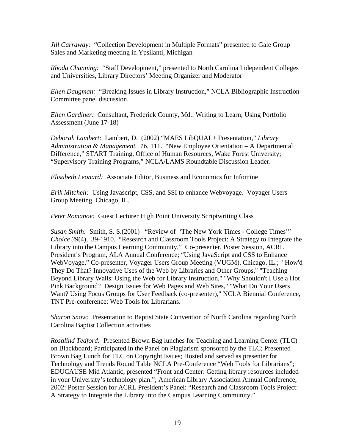*Jill Carraway:* "Collection Development in Multiple Formats" presented to Gale Group Sales and Marketing meeting in Ypsilanti, Michigan

*Rhoda Channing:* "Staff Development," presented to North Carolina Independent Colleges and Universities, Library Directors' Meeting Organizer and Moderator

*Ellen Daugman:* "Breaking Issues in Library Instruction," NCLA Bibliographic Instruction Committee panel discussion.

*Ellen Gardiner:* Consultant, Frederick County, Md.: Writing to Learn; Using Portfolio Assessment (June 17-18)

*Deborah Lambert:* Lambert, D. (2002) "MAES LibQUAL+ Presentation," *Library Administration & Management. 16,* 111. "New Employee Orientation – A Departmental Difference," START Training, Office of Human Resources, Wake Forest University; "Supervisory Training Programs," NCLA/LAMS Roundtable Discussion Leader.

*Elisabeth Leonard:* Associate Editor, Business and Economics for Infomine

*Erik Mitchell:* Using Javascript, CSS, and SSI to enhance Webvoyage. Voyager Users Group Meeting. Chicago, IL.

*Peter Romanov:* Guest Lecturer High Point University Scriptwriting Class

*Susan Smith:* Smith, S. S.(2001) "Review of 'The New York Times - College Times'" *Choice 39*(4), 39-1910. "Research and Classroom Tools Project: A Strategy to Integrate the Library into the Campus Learning Community," Co-presenter, Poster Session, ACRL President's Program, ALA Annual Conference; "Using JavaScript and CSS to Enhance WebVoyage," Co-presenter, Voyager Users Group Meeting (VUGM). Chicago, IL.; "How'd They Do That? Innovative Uses of the Web by Libraries and Other Groups," "Teaching Beyond Library Walls: Using the Web for Library Instruction," "Why Shouldn't I Use a Hot Pink Background? Design Issues for Web Pages and Web Sites," "What Do Your Users Want? Using Focus Groups for User Feedback (co-presenter)," NCLA Biennial Conference, TNT Pre-conference: Web Tools for Librarians.

*Sharon Snow:* Presentation to Baptist State Convention of North Carolina regarding North Carolina Baptist Collection activities

*Rosalind Tedford:* Presented Brown Bag lunches for Teaching and Learning Center (TLC) on Blackboard; Participated in the Panel on Plagiarism sponsored by the TLC; Presented Brown Bag Lunch for TLC on Copyright Issues; Hosted and served as presenter for Technology and Trends Round Table NCLA Pre-Conference "Web Tools for Librarians"; EDUCAUSE Mid Atlantic, presented "Front and Center: Getting library resources included in your University's technology plan."; American Library Association Annual Conference, 2002: Poster Session for ACRL President's Panel: "Research and Classroom Tools Project: A Strategy to Integrate the Library into the Campus Learning Community."